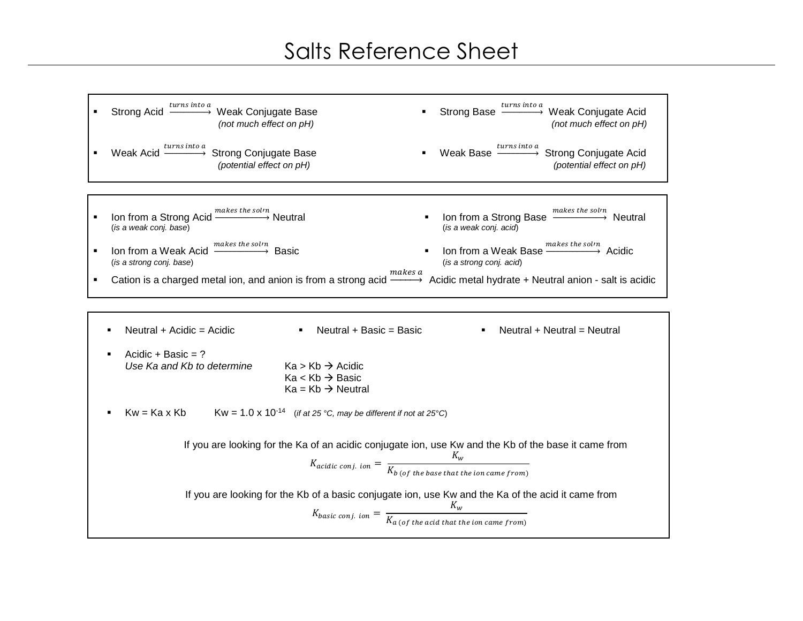## Salts Reference Sheet